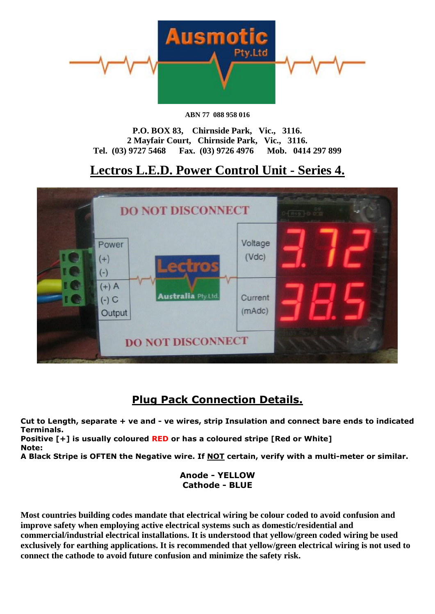

**ABN 77 088 958 016** 

**P.O. BOX 83, Chirnside Park, Vic., 3116. 2 Mayfair Court, Chirnside Park, Vic., 3116. Tel. (03) 9727 5468 Fax. (03) 9726 4976 Mob. 0414 297 899**

# **Lectros L.E.D. Power Control Unit - Series 4.**



## **Plug Pack Connection Details.**

**Cut to Length, separate + ve and - ve wires, strip Insulation and connect bare ends to indicated Terminals.**

**Positive [+] is usually coloured RED or has a coloured stripe [Red or White] Note:**

**A Black Stripe is OFTEN the Negative wire. If NOT certain, verify with a multi-meter or similar.**

## **Anode - YELLOW Cathode - BLUE**

**Most countries building codes mandate that electrical wiring be colour coded to avoid confusion and improve safety when employing active electrical systems such as domestic/residential and commercial/industrial electrical installations. It is understood that yellow/green coded wiring be used exclusively for earthing applications. It is recommended that yellow/green electrical wiring is not used to connect the cathode to avoid future confusion and minimize the safety risk.**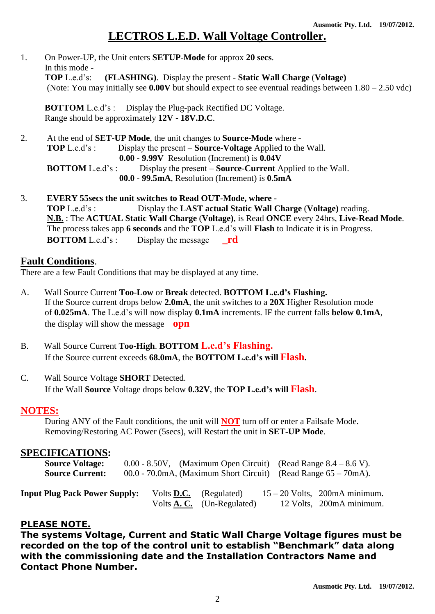## **LECTROS L.E.D. Wall Voltage Controller.**

1. On Power-UP, the Unit enters **SETUP-Mode** for approx **20 secs**. In this mode -<br>TOP Led's: **(FLASHING)**. Display the present - **Static Wall Charge** (Voltage) (Note: You may initially see **0.00V** but should expect to see eventual readings between 1.80 – 2.50 vdc)

**BOTTOM** L.e.d's : Display the Plug-pack Rectified DC Voltage. Range should be approximately **12V - 18V.D.C**.

- 2. At the end of **SET-UP Mode**, the unit changes to **Source-Mode** where  **TOP** L.e.d's : Display the present – **Source-Voltage** Applied to the Wall.  **0.00 - 9.99V** Resolution (Increment) is **0.04V BOTTOM** L.e.d's : Display the present – **Source-Current** Applied to the Wall. **00.0 - 99.5mA**, Resolution (Increment) is **0.5mA**
- 3. **EVERY 55secs the unit switches to Read OUT-Mode, where - TOP** L.e.d's : Display the **LAST actual Static Wall Charge** (**Voltage)** reading. **N.B.** : The **ACTUAL Static Wall Charge** (**Voltage)**, is Read **ONCE** every 24hrs, **Live-Read Mode**. The process takes app **6 seconds** and the **TOP** L.e.d's will **Flash** to Indicate it is in Progress. **BOTTOM** L.e.d's : Display the message rd

### **Fault Conditions**.

There are a few Fault Conditions that may be displayed at any time.

- A. Wall Source Current **Too-Low** or **Break** detected. **BOTTOM L.e.d's Flashing.** If the Source current drops below **2.0mA**, the unit switches to a **20X** Higher Resolution mode of **0.025mA**. The L.e.d's will now display **0.1mA** increments. IF the current falls **below 0.1mA**, the display will show the message **opn**
- B. Wall Source Current **Too-High**. **BOTTOM L.e.d's Flashing.** If the Source current exceeds **68.0mA**, the **BOTTOM L.e.d's will Flash.**
- C. Wall Source Voltage **SHORT** Detected. If the Wall **Source** Voltage drops below **0.32V**, the **TOP L.e.d's will Flash**.

### **NOTES:**

 During ANY of the Fault conditions, the unit will **NOT** turn off or enter a Failsafe Mode. Removing/Restoring AC Power (5secs), will Restart the unit in **SET-UP Mode**.

### **SPECIFICATIONS:**

| <b>Source Voltage:</b><br><b>Source Current:</b> |                   | $0.00 - 8.50V$ , (Maximum Open Circuit) (Read Range $8.4 - 8.6 V$ ).<br>$00.0 - 70.0 \text{mA}$ , (Maximum Short Circuit) (Read Range $65 - 70 \text{mA}$ ). |                                                             |
|--------------------------------------------------|-------------------|--------------------------------------------------------------------------------------------------------------------------------------------------------------|-------------------------------------------------------------|
| <b>Input Plug Pack Power Supply:</b>             | Volts <b>D.C.</b> | (Regulated)<br>Volts $\mathbf{A}$ . C. (Un-Regulated)                                                                                                        | $15 - 20$ Volts, 200mA minimum.<br>12 Volts, 200mA minimum. |

### **PLEASE NOTE.**

**The systems Voltage, Current and Static Wall Charge Voltage figures must be recorded on the top of the control unit to establish "Benchmark" data along with the commissioning date and the Installation Contractors Name and Contact Phone Number.**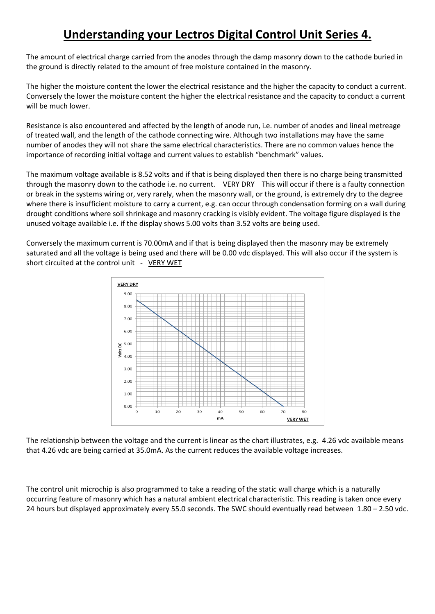# **Understanding your Lectros Digital Control Unit Series 4.**

The amount of electrical charge carried from the anodes through the damp masonry down to the cathode buried in the ground is directly related to the amount of free moisture contained in the masonry.

The higher the moisture content the lower the electrical resistance and the higher the capacity to conduct a current. Conversely the lower the moisture content the higher the electrical resistance and the capacity to conduct a current will be much lower.

Resistance is also encountered and affected by the length of anode run, i.e. number of anodes and lineal metreage of treated wall, and the length of the cathode connecting wire. Although two installations may have the same number of anodes they will not share the same electrical characteristics. There are no common values hence the importance of recording initial voltage and current values to establish "benchmark" values.

The maximum voltage available is 8.52 volts and if that is being displayed then there is no charge being transmitted through the masonry down to the cathode i.e. no current. VERY DRY This will occur if there is a faulty connection or break in the systems wiring or, very rarely, when the masonry wall, or the ground, is extremely dry to the degree where there is insufficient moisture to carry a current, e.g. can occur through condensation forming on a wall during drought conditions where soil shrinkage and masonry cracking is visibly evident. The voltage figure displayed is the unused voltage available i.e. if the display shows 5.00 volts than 3.52 volts are being used.

Conversely the maximum current is 70.00mA and if that is being displayed then the masonry may be extremely saturated and all the voltage is being used and there will be 0.00 vdc displayed. This will also occur if the system is short circuited at the control unit - VERY WET



The relationship between the voltage and the current is linear as the chart illustrates, e.g. 4.26 vdc available means that 4.26 vdc are being carried at 35.0mA. As the current reduces the available voltage increases.

The control unit microchip is also programmed to take a reading of the static wall charge which is a naturally occurring feature of masonry which has a natural ambient electrical characteristic. This reading is taken once every 24 hours but displayed approximately every 55.0 seconds. The SWC should eventually read between 1.80 – 2.50 vdc.